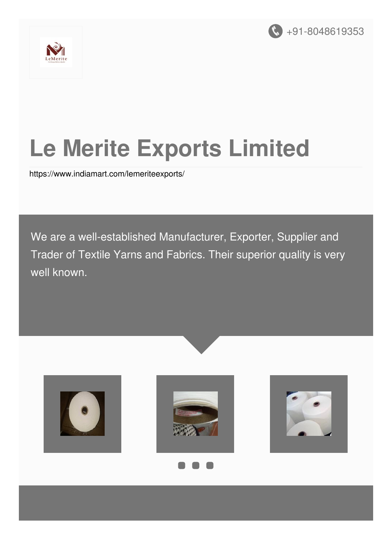



# **Le Merite Exports Limited**

<https://www.indiamart.com/lemeriteexports/>

We are a well-established Manufacturer, Exporter, Supplier and Trader of Textile Yarns and Fabrics. Their superior quality is very well known.

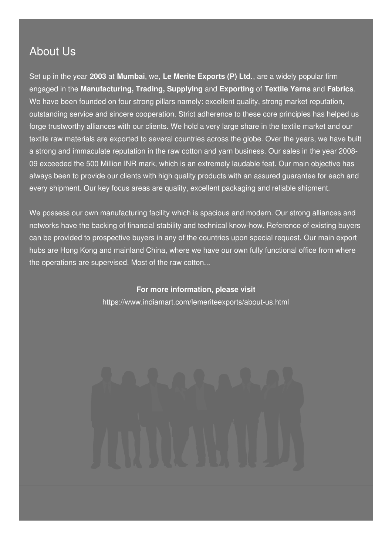# About Us

Set up in the year **2003** at **Mumbai**, we, **Le Merite Exports (P) Ltd.**, are a widely popular firm engaged in the **Manufacturing, Trading, Supplying** and **Exporting** of **Textile Yarns** and **Fabrics**. We have been founded on four strong pillars namely: excellent quality, strong market reputation, outstanding service and sincere cooperation. Strict adherence to these core principles has helped us forge trustworthy alliances with our clients. We hold a very large share in the textile market and our textile raw materials are exported to several countries across the globe. Over the years, we have built a strong and immaculate reputation in the raw cotton and yarn business. Our sales in the year 2008- 09 exceeded the 500 Million INR mark, which is an extremely laudable feat. Our main objective has always been to provide our clients with high quality products with an assured guarantee for each and every shipment. Our key focus areas are quality, excellent packaging and reliable shipment.

We possess our own manufacturing facility which is spacious and modern. Our strong alliances and networks have the backing of financial stability and technical know-how. Reference of existing buyers can be provided to prospective buyers in any of the countries upon special request. Our main export hubs are Hong Kong and mainland China, where we have our own fully functional office from where the operations are supervised. Most of the raw cotton...

> **For more information, please visit** <https://www.indiamart.com/lemeriteexports/about-us.html>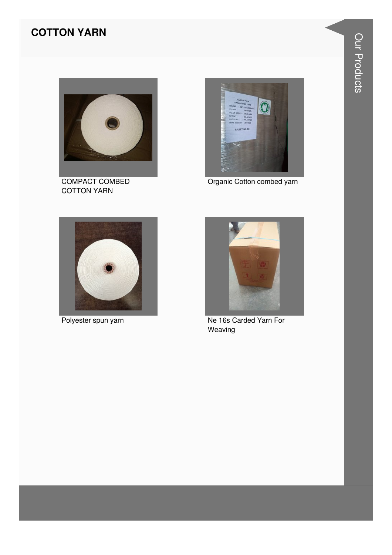#### **COTTON YARN**



COMPACT COMBED **COTTON YARN** 



Organic Cotton combed yarn



Polyester spun yarn



Ne 16s Carded Yarn For Weaving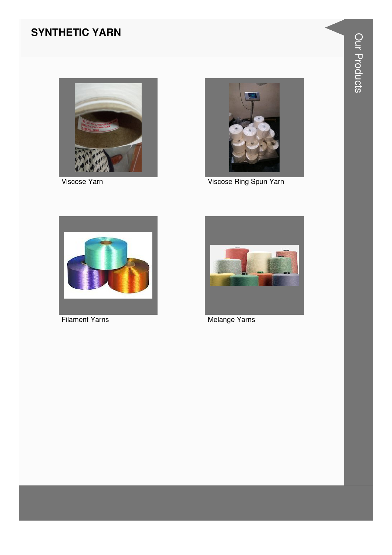# **SYNTHETIC YARN**



Viscose Yarn



Viscose Ring Spun Yarn



**Filament Yarns** 



Melange Yarns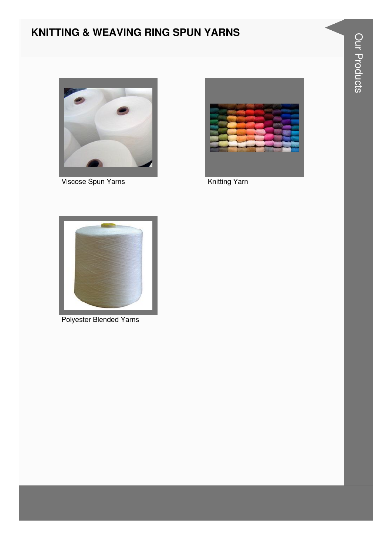# **KNITTING & WEAVING RING SPUN YARNS**



Viscose Spun Yarns



Knitting Yarn



Polyester Blended Yarns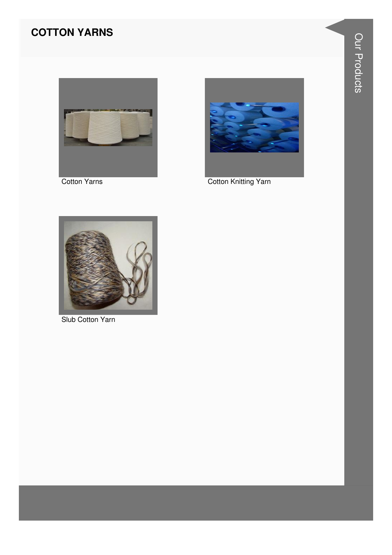# **COTTON YARNS**



Cotton Yarns



**Cotton Knitting Yarn** 



Slub Cotton Yarn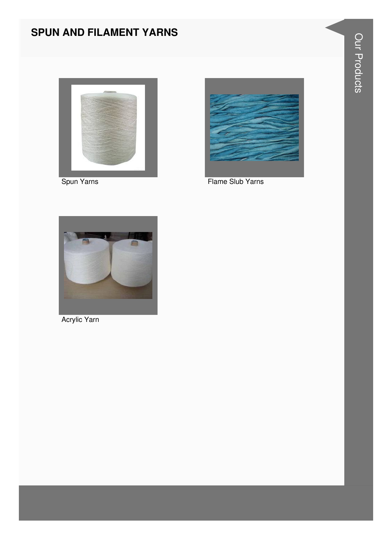# **SPUN AND FILAMENT YARNS**



Spun Yarns



Flame Slub Yarns



Acrylic Yarn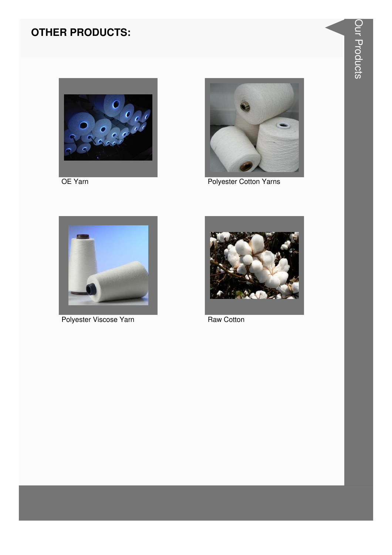# **OTHER PRODUCTS:**



OE Yarn



Polyester Cotton Yarns



Polyester Viscose Yarn



Raw Cotton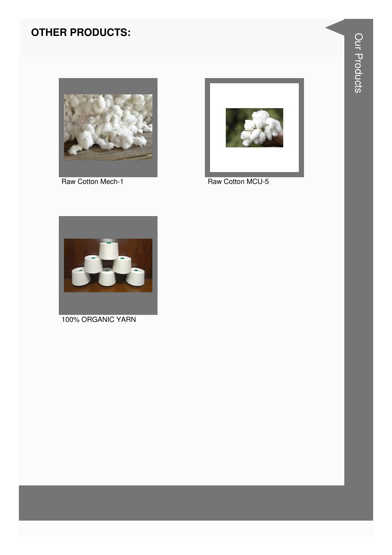# **OTHER PRODUCTS:**



Raw Cotton Mech-1



Raw Cotton MCU-5



100% ORGANIC YARN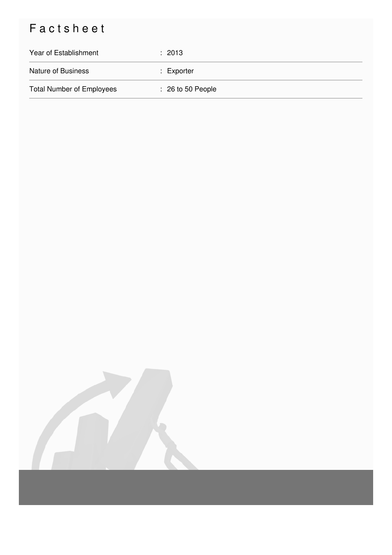# Factsheet

| Year of Establishment            | : 2013                       |
|----------------------------------|------------------------------|
| <b>Nature of Business</b>        | $:$ Exporter                 |
| <b>Total Number of Employees</b> | $\therefore$ 26 to 50 People |